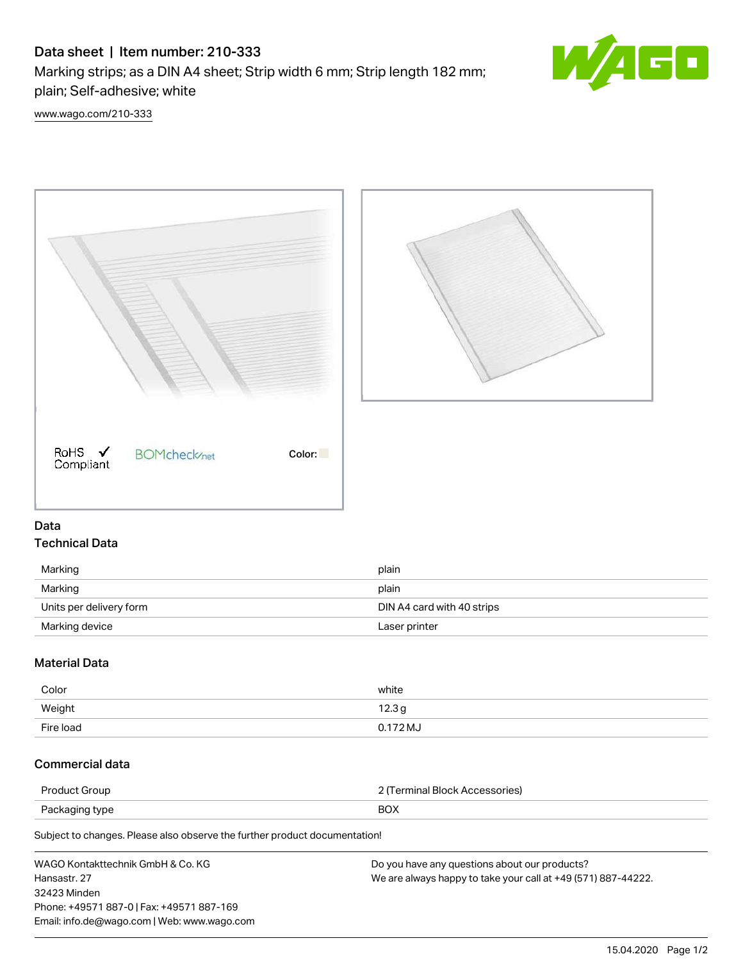# Data sheet | Item number: 210-333

Marking strips; as a DIN A4 sheet; Strip width 6 mm; Strip length 182 mm; plain; Self-adhesive; white



[www.wago.com/210-333](http://www.wago.com/210-333)





### Data Technical Data

| Marking                 | plain                      |
|-------------------------|----------------------------|
| Marking                 | plain                      |
| Units per delivery form | DIN A4 card with 40 strips |
| Marking device          | Laser printer              |

## Material Data

| Color     | white    |
|-----------|----------|
| Weight    | 12.3g    |
| Fire load | 0.172 MJ |

### Commercial data

| Product Group  | 2 (Terminal Block Accessories) |
|----------------|--------------------------------|
| Packaging type | <b>BOX</b>                     |
|                |                                |

Subject to changes. Please also observe the further product documentation!

| WAGO Kontakttechnik GmbH & Co. KG           | Do you have any questions about our products?                 |
|---------------------------------------------|---------------------------------------------------------------|
| Hansastr. 27                                | We are always happy to take your call at +49 (571) 887-44222. |
| 32423 Minden                                |                                                               |
| Phone: +49571 887-0   Fax: +49571 887-169   |                                                               |
| Email: info.de@wago.com   Web: www.wago.com |                                                               |